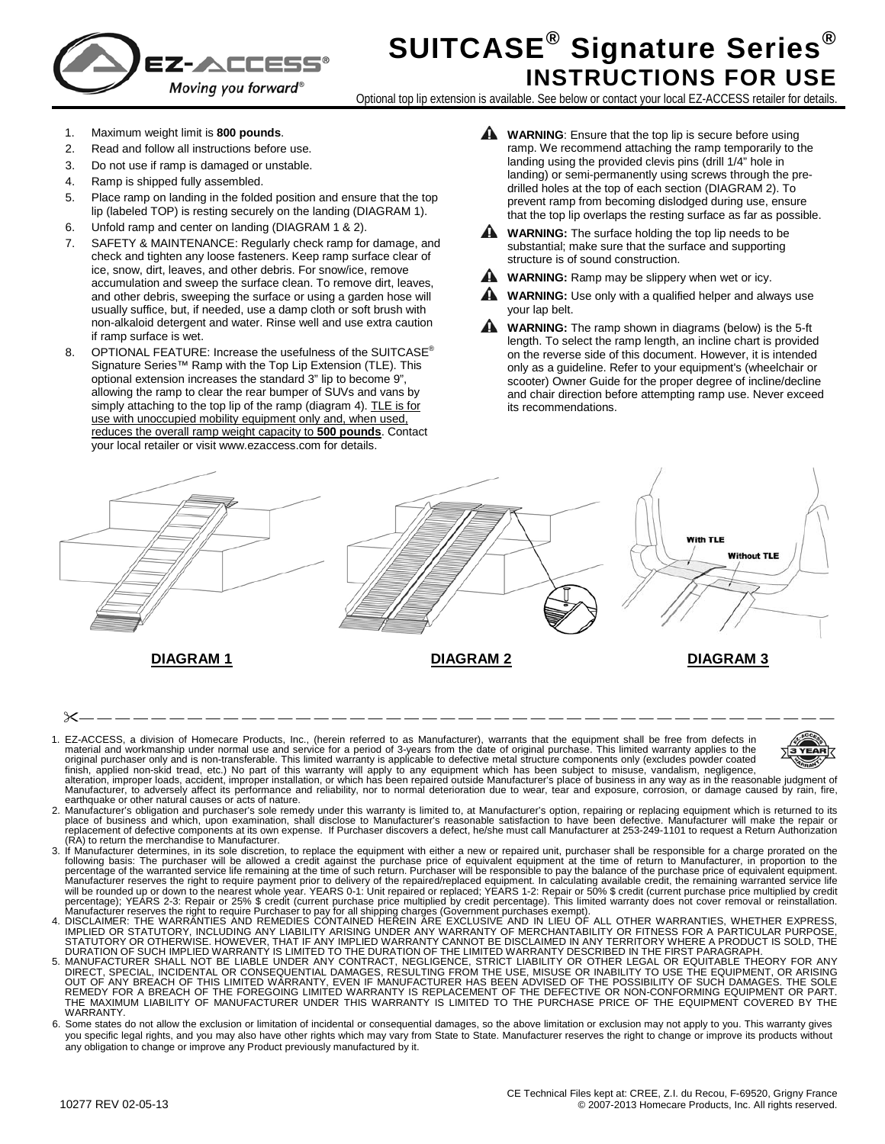

## **SUITCASE® Signature Series® INSTRUCTIONS FOR USE**

Optional top lip extension is available. See below or contact your local EZ-ACCESS retailer for details.

- 1. Maximum weight limit is **800 pounds**.
- 2. Read and follow all instructions before use.
- 3. Do not use if ramp is damaged or unstable.
- 4. Ramp is shipped fully assembled.
- 5. Place ramp on landing in the folded position and ensure that the top lip (labeled TOP) is resting securely on the landing (DIAGRAM 1).
- 6. Unfold ramp and center on landing (DIAGRAM 1 & 2).
- 7. SAFETY & MAINTENANCE: Regularly check ramp for damage, and check and tighten any loose fasteners. Keep ramp surface clear of ice, snow, dirt, leaves, and other debris. For snow/ice, remove accumulation and sweep the surface clean. To remove dirt, leaves, and other debris, sweeping the surface or using a garden hose will usually suffice, but, if needed, use a damp cloth or soft brush with non-alkaloid detergent and water. Rinse well and use extra caution if ramp surface is wet.
- 8. OPTIONAL FEATURE: Increase the usefulness of the SUITCASE<sup>®</sup> Signature Series™ Ramp with the Top Lip Extension (TLE). This optional extension increases the standard 3" lip to become 9", allowing the ramp to clear the rear bumper of SUVs and vans by simply attaching to the top lip of the ramp (diagram 4). TLE is for use with unoccupied mobility equipment only and, when used, reduces the overall ramp weight capacity to **500 pounds**. Contact your local retailer or visit www.ezaccess.com for details.
- **WARNING:** Ensure that the top lip is secure before using ramp. We recommend attaching the ramp temporarily to the landing using the provided clevis pins (drill 1/4" hole in landing) or semi-permanently using screws through the predrilled holes at the top of each section (DIAGRAM 2). To prevent ramp from becoming dislodged during use, ensure that the top lip overlaps the resting surface as far as possible.
- **WARNING:** The surface holding the top lip needs to be substantial; make sure that the surface and supporting structure is of sound construction.
- **WARNING:** Ramp may be slippery when wet or icy.
- **WARNING:** Use only with a qualified helper and always use your lap belt.
- **WARNING:** The ramp shown in diagrams (below) is the 5-ft length. To select the ramp length, an incline chart is provided on the reverse side of this document. However, it is intended only as a guideline. Refer to your equipment's (wheelchair or scooter) Owner Guide for the proper degree of incline/decline and chair direction before attempting ramp use. Never exceed its recommendations.



— — — — — — — — — — — — — — — — — — — — — — — — — — — — — — — — — — — — — — — — — —

- 1. EZ-ACCESS, a division of Homecare Products, Inc., (herein referred to as Manufacturer), warrants that the equipment shall be free from defects in material and workmanship under normal use and service for a period of 3-y Manufacturer, to adversely affect its performance and reliability, nor to normal deterioration due to wear, tear and exposure, corrosion, or damage caused by rain, fire,
- earthquake or other natural causes or acts of nature. 2. Manufacturer's obligation and purchaser's sole remedy under this warranty is limited to, at Manufacturer's option, repairing or replacing equipment which is returned to its<br>place of business and which, upon examination, .<br>replacement of defective components at its own expense. If Purchaser discovers a defect, he/she must call Manufacturer at 253-249-1101 to request a Return Authorization<br>(RA) to return the merchandise to Manufacturer
- (RA) to return the mechandise to Manufacturer. The mechanism is to be discretion, to replace the equipment with either a new or repaired unit, purchaser shall be responsible for a charge prorated on the following basis: Th
- 
- THE MAXIMUM LIABILITY OF MANUFACTURER UNDER THIS WARRANTY IS LIMITED TO THE PURCHASE PRICE OF THE EQUIPMENT COVERED BY THE<br>WARRANTY.
- 6. Some states do not allow the exclusion or limitation of incidental or consequential damages, so the above limitation or exclusion may not apply to you. This warranty gives you specific legal rights, and you may also have other rights which may vary from State to State. Manufacturer reserves the right to change or improve its products without any obligation to change or improve any Product previously manufactured by it.